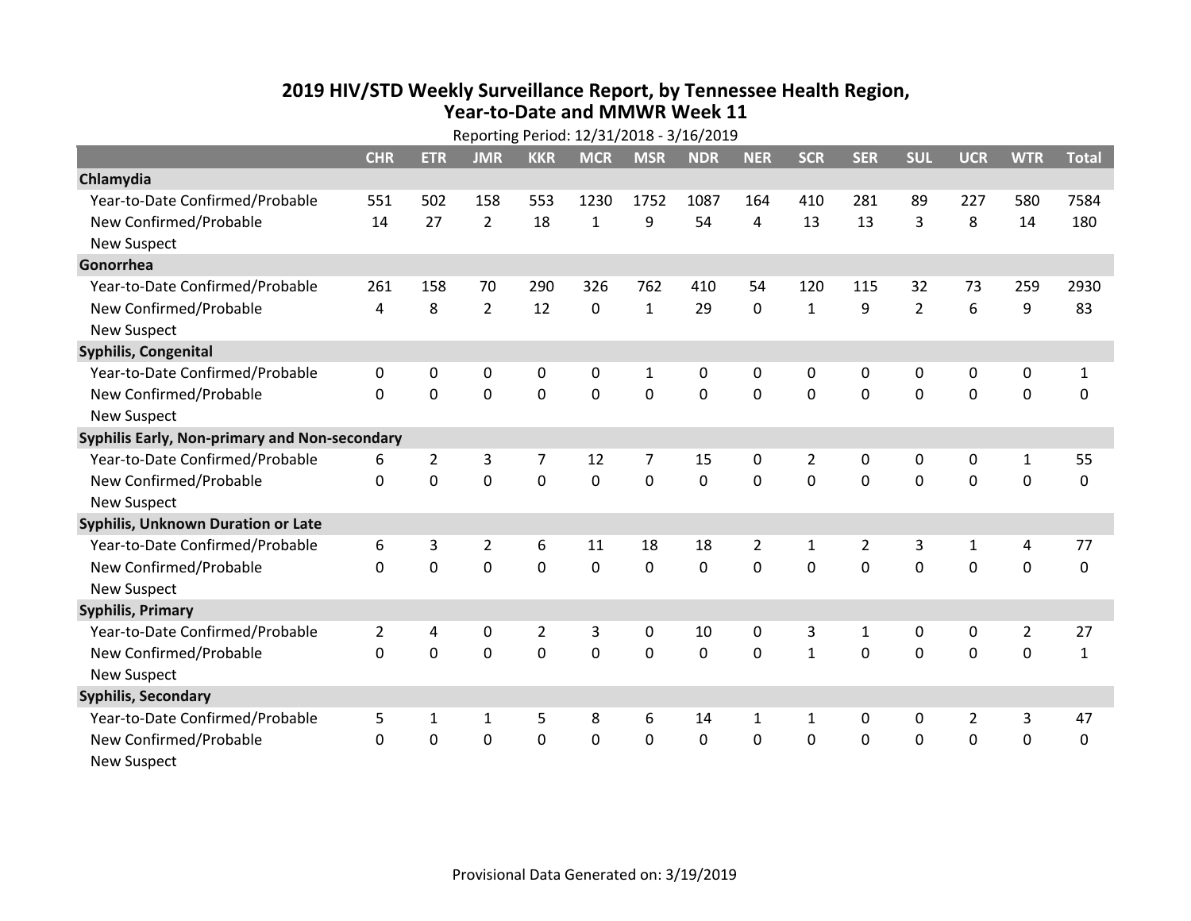## **2019 HIV /STD Weekly Surveillance Report, by Tennessee Health Region, Year‐to‐Date and MMWR Week 11**

| Reporting Period: 12/31/2018 - 3/16/2019      |                |                |                |                |              |                |             |                |                |                |                |                |                |              |
|-----------------------------------------------|----------------|----------------|----------------|----------------|--------------|----------------|-------------|----------------|----------------|----------------|----------------|----------------|----------------|--------------|
|                                               | <b>CHR</b>     | <b>ETR</b>     | <b>JMR</b>     | <b>KKR</b>     | <b>MCR</b>   | <b>MSR</b>     | <b>NDR</b>  | <b>NER</b>     | <b>SCR</b>     | <b>SER</b>     | <b>SUL</b>     | <b>UCR</b>     | <b>WTR</b>     | <b>Total</b> |
| Chlamydia                                     |                |                |                |                |              |                |             |                |                |                |                |                |                |              |
| Year-to-Date Confirmed/Probable               | 551            | 502            | 158            | 553            | 1230         | 1752           | 1087        | 164            | 410            | 281            | 89             | 227            | 580            | 7584         |
| New Confirmed/Probable                        | 14             | 27             | $\overline{2}$ | 18             | $\mathbf{1}$ | 9              | 54          | 4              | 13             | 13             | 3              | 8              | 14             | 180          |
| <b>New Suspect</b>                            |                |                |                |                |              |                |             |                |                |                |                |                |                |              |
| Gonorrhea                                     |                |                |                |                |              |                |             |                |                |                |                |                |                |              |
| Year-to-Date Confirmed/Probable               | 261            | 158            | 70             | 290            | 326          | 762            | 410         | 54             | 120            | 115            | 32             | 73             | 259            | 2930         |
| New Confirmed/Probable                        | 4              | 8              | $\overline{2}$ | 12             | $\mathbf 0$  | $\mathbf{1}$   | 29          | 0              | $\mathbf{1}$   | 9              | $\overline{2}$ | 6              | 9              | 83           |
| <b>New Suspect</b>                            |                |                |                |                |              |                |             |                |                |                |                |                |                |              |
| Syphilis, Congenital                          |                |                |                |                |              |                |             |                |                |                |                |                |                |              |
| Year-to-Date Confirmed/Probable               | 0              | 0              | 0              | 0              | 0            | 1              | 0           | 0              | 0              | 0              | 0              | 0              | 0              | 1            |
| New Confirmed/Probable                        | $\mathbf{0}$   | $\mathbf{0}$   | $\mathbf 0$    | $\mathbf 0$    | $\mathbf 0$  | $\mathbf 0$    | $\mathbf 0$ | $\mathbf 0$    | $\mathbf 0$    | 0              | $\mathbf 0$    | 0              | $\mathbf 0$    | 0            |
| <b>New Suspect</b>                            |                |                |                |                |              |                |             |                |                |                |                |                |                |              |
| Syphilis Early, Non-primary and Non-secondary |                |                |                |                |              |                |             |                |                |                |                |                |                |              |
| Year-to-Date Confirmed/Probable               | 6              | $\overline{2}$ | 3              | 7              | 12           | $\overline{7}$ | 15          | 0              | $\overline{2}$ | 0              | 0              | 0              | 1              | 55           |
| New Confirmed/Probable                        | $\mathbf{0}$   | $\mathbf 0$    | 0              | $\mathbf 0$    | $\mathbf 0$  | 0              | $\mathbf 0$ | 0              | $\Omega$       | $\Omega$       | $\mathbf 0$    | 0              | $\mathbf 0$    | 0            |
| <b>New Suspect</b>                            |                |                |                |                |              |                |             |                |                |                |                |                |                |              |
| <b>Syphilis, Unknown Duration or Late</b>     |                |                |                |                |              |                |             |                |                |                |                |                |                |              |
| Year-to-Date Confirmed/Probable               | 6              | 3              | $\overline{2}$ | 6              | 11           | 18             | 18          | $\overline{2}$ | $\mathbf{1}$   | $\overline{2}$ | 3              | $\mathbf{1}$   | 4              | 77           |
| New Confirmed/Probable                        | $\Omega$       | $\mathbf 0$    | $\mathbf 0$    | $\mathbf 0$    | 0            | $\mathbf 0$    | 0           | $\Omega$       | $\Omega$       | $\Omega$       | $\Omega$       | 0              | $\mathbf 0$    | 0            |
| <b>New Suspect</b>                            |                |                |                |                |              |                |             |                |                |                |                |                |                |              |
| <b>Syphilis, Primary</b>                      |                |                |                |                |              |                |             |                |                |                |                |                |                |              |
| Year-to-Date Confirmed/Probable               | $\overline{2}$ | 4              | 0              | $\overline{2}$ | 3            | 0              | 10          | 0              | 3              | $\mathbf{1}$   | 0              | 0              | $\overline{2}$ | 27           |
| New Confirmed/Probable                        | $\mathbf{0}$   | $\mathbf 0$    | 0              | $\mathbf 0$    | 0            | $\mathbf 0$    | 0           | 0              | $\mathbf{1}$   | 0              | $\mathbf 0$    | 0              | $\mathbf 0$    | $\mathbf{1}$ |
| <b>New Suspect</b>                            |                |                |                |                |              |                |             |                |                |                |                |                |                |              |
| <b>Syphilis, Secondary</b>                    |                |                |                |                |              |                |             |                |                |                |                |                |                |              |
| Year-to-Date Confirmed/Probable               | 5              | 1              | $\mathbf{1}$   | 5              | 8            | 6              | 14          | 1              | $\mathbf{1}$   | 0              | 0              | $\overline{2}$ | $\mathbf{3}$   | 47           |
| New Confirmed/Probable                        | 0              | 0              | 0              | $\mathbf 0$    | 0            | $\mathbf 0$    | 0           | 0              | 0              | 0              | $\mathbf 0$    | 0              | $\mathbf 0$    | 0            |
| <b>New Suspect</b>                            |                |                |                |                |              |                |             |                |                |                |                |                |                |              |